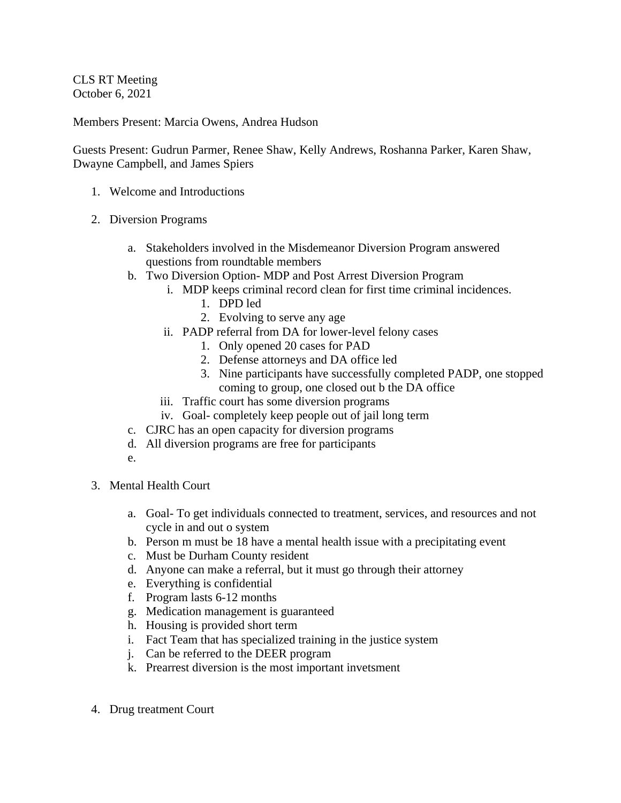CLS RT Meeting October 6, 2021

Members Present: Marcia Owens, Andrea Hudson

Guests Present: Gudrun Parmer, Renee Shaw, Kelly Andrews, Roshanna Parker, Karen Shaw, Dwayne Campbell, and James Spiers

- 1. Welcome and Introductions
- 2. Diversion Programs
	- a. Stakeholders involved in the Misdemeanor Diversion Program answered questions from roundtable members
	- b. Two Diversion Option- MDP and Post Arrest Diversion Program
		- i. MDP keeps criminal record clean for first time criminal incidences.
			- 1. DPD led
			- 2. Evolving to serve any age
		- ii. PADP referral from DA for lower-level felony cases
			- 1. Only opened 20 cases for PAD
			- 2. Defense attorneys and DA office led
			- 3. Nine participants have successfully completed PADP, one stopped coming to group, one closed out b the DA office
		- iii. Traffic court has some diversion programs
		- iv. Goal- completely keep people out of jail long term
	- c. CJRC has an open capacity for diversion programs
	- d. All diversion programs are free for participants
	- e.
- 3. Mental Health Court
	- a. Goal- To get individuals connected to treatment, services, and resources and not cycle in and out o system
	- b. Person m must be 18 have a mental health issue with a precipitating event
	- c. Must be Durham County resident
	- d. Anyone can make a referral, but it must go through their attorney
	- e. Everything is confidential
	- f. Program lasts 6-12 months
	- g. Medication management is guaranteed
	- h. Housing is provided short term
	- i. Fact Team that has specialized training in the justice system
	- j. Can be referred to the DEER program
	- k. Prearrest diversion is the most important invetsment
- 4. Drug treatment Court